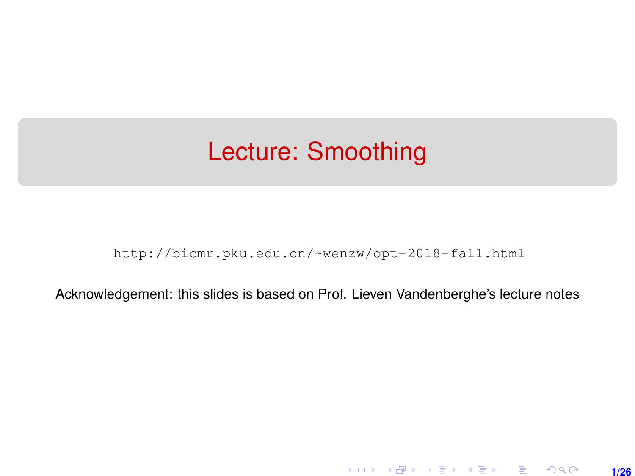# Lecture: Smoothing

[http://bicmr.pku.edu.cn/~wenzw/opt-2018-fall.html](http://bicmr.pku.edu.cn/~wenzw/opt-2018-fall.html )

Acknowledgement: this slides is based on Prof. Lieven Vandenberghe's lecture notes

**1/26**

K ロ ▶ K 레 ▶ K 호 ▶ K 호 ▶ → 호 → 900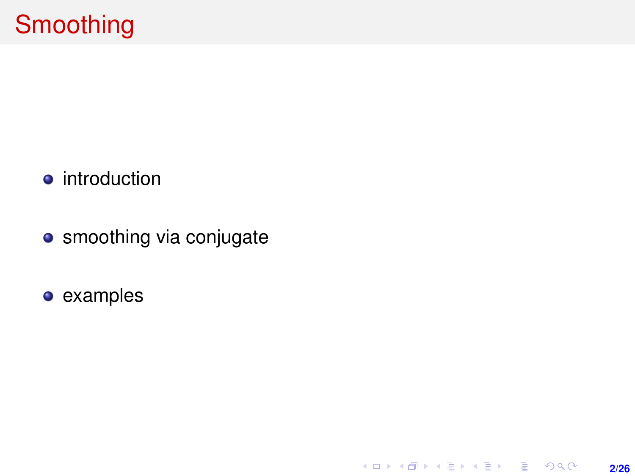- **•** introduction
- smoothing via conjugate

**2/26**

K ロ ▶ K @ ▶ K 할 > K 할 > 1 할 > 1 이익어

examples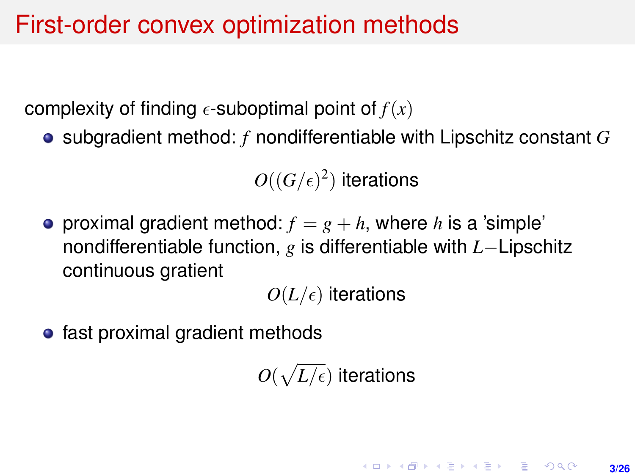# First-order convex optimization methods

complexity of finding  $\epsilon$ -suboptimal point of  $f(x)$ 

subgradient method: *f* nondifferentiable with Lipschitz constant *G*

 $O((G/\epsilon)^2)$  iterations

**•** proximal gradient method:  $f = g + h$ , where h is a 'simple' nondifferentiable function, *g* is differentiable with *L*−Lipschitz continuous gratient

 $O(L/\epsilon)$  iterations

• fast proximal gradient methods

 $O(\sqrt{L/\epsilon})$  iterations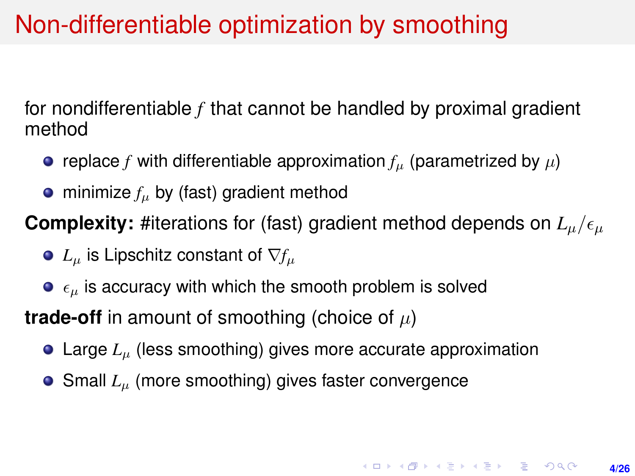# Non-differentiable optimization by smoothing

for nondifferentiable *f* that cannot be handled by proximal gradient method

- replace *f* with differentiable approximation  $f<sub>u</sub>$  (parametrized by  $\mu$ )
- $\bullet$  minimize  $f_\mu$  by (fast) gradient method

**Complexity:** #iterations for (fast) gradient method depends on  $L_u/\epsilon_u$ 

- $\bullet$  *L*<sub>u</sub> is Lipschitz constant of  $\nabla f_u$
- $\bullet$   $\epsilon_{\mu}$  is accuracy with which the smooth problem is solved

**trade-off** in amount of smoothing (choice of  $\mu$ )

- Large  $L$ <sub>µ</sub> (less smoothing) gives more accurate approximation
- Small *L*<sub>u</sub> (more smoothing) gives faster convergence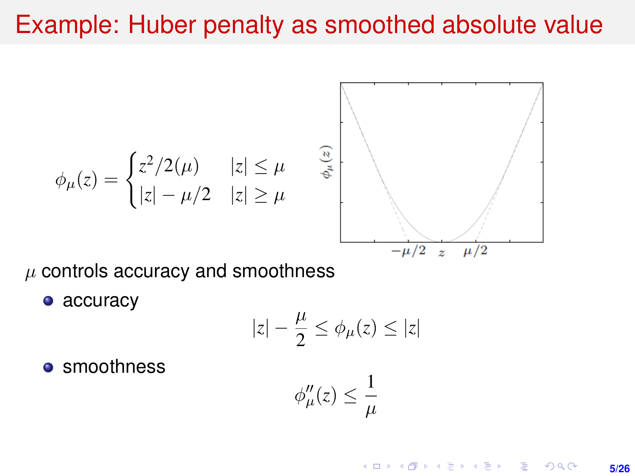### Example: Huber penalty as smoothed absolute value

$$
\phi_{\mu}(z) = \begin{cases} z^2/2(\mu) & |z| \leq \mu \\ |z| - \mu/2 & |z| \geq \mu \end{cases}
$$

 $\mu$  controls accuracy and smoothness

• accuracy

$$
|z|-\frac{\mu}{2}\leq \phi_\mu(z)\leq |z|
$$

**•** smoothness

$$
\phi''_{\mu}(z) \leq \frac{1}{\mu}
$$

**KORKARK (EXIST) E MOOR 5/26**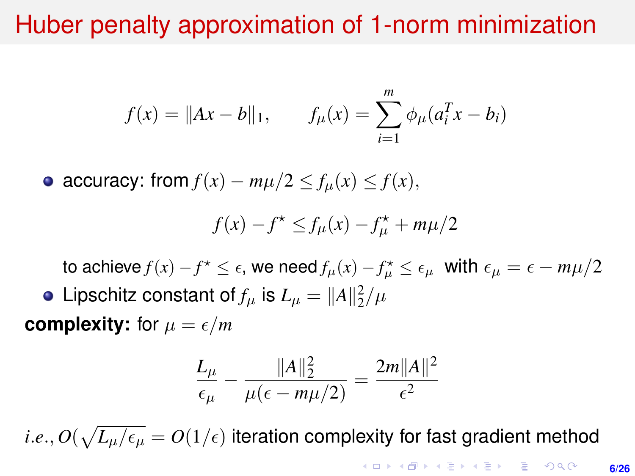# Huber penalty approximation of 1-norm minimization

$$
f(x) = \|Ax - b\|_1, \qquad f_{\mu}(x) = \sum_{i=1}^{m} \phi_{\mu}(a_i^T x - b_i)
$$

• accuracy: from  $f(x) - m\mu/2 \le f_{\mu}(x) \le f(x)$ ,

$$
f(x) - f^* \le f_\mu(x) - f_\mu^* + m\mu/2
$$

to achieve  $f(x) - f^* \leq \epsilon$ , we need  $f_\mu(x) - f_\mu^* \leq \epsilon_\mu$  with  $\epsilon_\mu = \epsilon - m\mu/2$ Lipschitz constant of  $f_\mu$  is  $L_\mu = \|A\|_2^2/\mu$ 

**complexity:** for  $\mu = \epsilon/m$ 

$$
\frac{L_{\mu}}{\epsilon_{\mu}} - \frac{\|A\|_2^2}{\mu(\epsilon - m\mu/2)} = \frac{2m\|A\|^2}{\epsilon^2}
$$

 $i.e., O(\sqrt{L_\mu/\epsilon_\mu} = O(1/\epsilon)$  iteration complexity for fast gradient method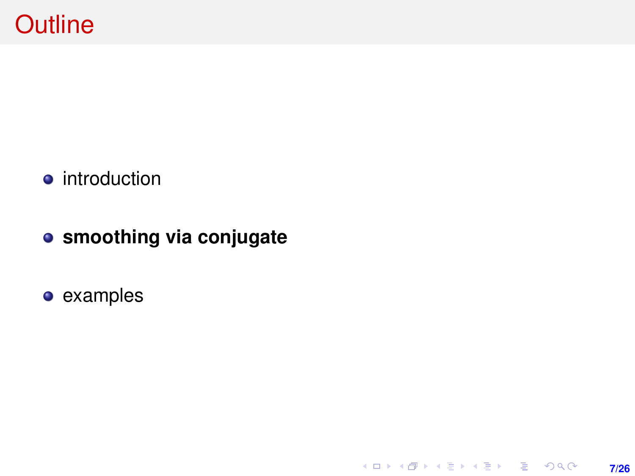- **•** introduction
- **smoothing via conjugate**

**7/26**

K ロ ▶ K @ ▶ K 할 > K 할 > 1 할 > 1 이익어

examples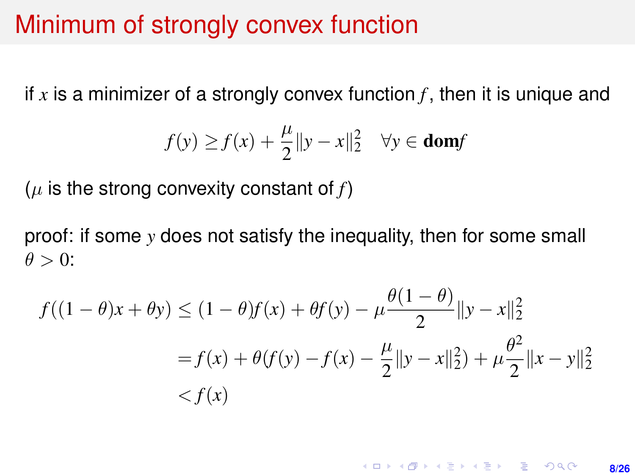### Minimum of strongly convex function

if x is a minimizer of a strongly convex function  $f$ , then it is unique and

$$
f(y) \ge f(x) + \frac{\mu}{2} ||y - x||_2^2 \quad \forall y \in \text{dom} f
$$

 $(\mu$  is the strong convexity constant of  $f$ )

proof: if some *y* does not satisfy the inequality, then for some small  $\theta > 0$ :

$$
f((1 - \theta)x + \theta y) \le (1 - \theta)f(x) + \theta f(y) - \mu \frac{\theta(1 - \theta)}{2} ||y - x||_2^2
$$
  
=  $f(x) + \theta(f(y) - f(x) - \frac{\mu}{2} ||y - x||_2^2) + \mu \frac{\theta^2}{2} ||x - y||_2^2$   
<  $f(x)$ 

**KORKARK (EXIST) E MOOR 8/26**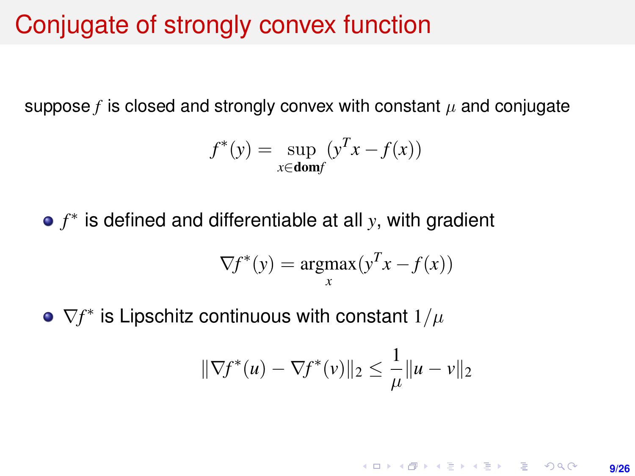### Conjugate of strongly convex function

suppose  $f$  is closed and strongly convex with constant  $\mu$  and conjugate

$$
f^*(y) = \sup_{x \in \text{dom}f} (y^T x - f(x))
$$

*f* ∗ is defined and differentiable at all *y*, with gradient

$$
\nabla f^*(y) = \underset{x}{\operatorname{argmax}} (y^T x - f(x))
$$

 $\nabla f^*$  is Lipschitz continuous with constant  $1/\mu$ 

$$
\|\nabla f^*(u) - \nabla f^*(v)\|_2 \le \frac{1}{\mu} \|u - v\|_2
$$

**KORKARK (EXIST) E MOOR 9/26**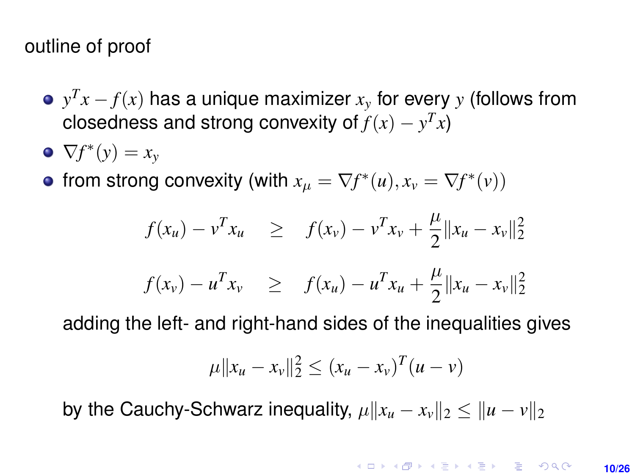#### outline of proof

- $y^T x f(x)$  has a unique maximizer  $x_y$  for every  $y$  (follows from closedness and strong convexity of  $f(x) - y^T x$
- $\nabla f^*(y) = x_y$
- from strong convexity (with  $x_{\mu} = \nabla f^*(u), x_{\nu} = \nabla f^*(v)$ )

$$
f(x_u) - v^T x_u \geq f(x_v) - v^T x_v + \frac{\mu}{2} ||x_u - x_v||_2^2
$$

$$
f(x_v) - u^T x_v \geq f(x_u) - u^T x_u + \frac{\mu}{2} ||x_u - x_v||_2^2
$$

adding the left- and right-hand sides of the inequalities gives

$$
\mu||x_u - x_v||_2^2 \le (x_u - x_v)^T (u - v)
$$

by the Cauchy-Schwarz inequality,  $\mu \|x_u - x_v\|_2 \leq \|u - v\|_2$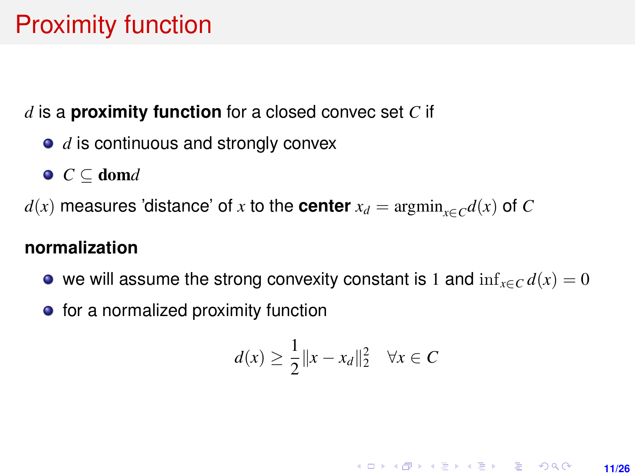# Proximity function

*d* is a **proximity function** for a closed convec set *C* if

- *d* is continuous and strongly convex
- *C* ⊆ dom*d*

 $d(x)$  measures 'distance' of *x* to the **center**  $x_d = \text{argmin}_{x \in C} d(x)$  of *C* 

#### **normalization**

- we will assume the strong convexity constant is 1 and  $\inf_{x \in C} d(x) = 0$
- $\bullet$  for a normalized proximity function

$$
d(x) \ge \frac{1}{2} ||x - x_d||_2^2 \quad \forall x \in C
$$

**KORKARK KERKER DRAM 11/26**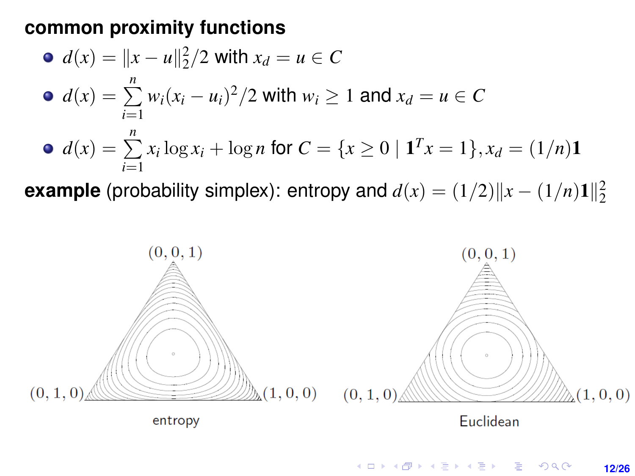#### **common proximity functions**

\n- \n
$$
d(x) = \|x - u\|_2^2 / 2
$$
\n with  $x_d = u \in C$ \n
\n- \n $d(x) = \sum_{i=1}^n w_i (x_i - u_i)^2 / 2$ \n with  $w_i \geq 1$ \n and  $x_d = u \in C$ \n
\n- \n $d(x) = \sum_{i=1}^n x_i \log x_i + \log n$ \n for  $C = \{x \geq 0 \mid \mathbf{1}^T x = 1\}$ ,  $x_d = (1/n)\mathbf{1}$ \n
\n

**example** (probability simplex): entropy and  $d(x) = (1/2) \|x - (1/n)1\|_2^2$ 



**12/26**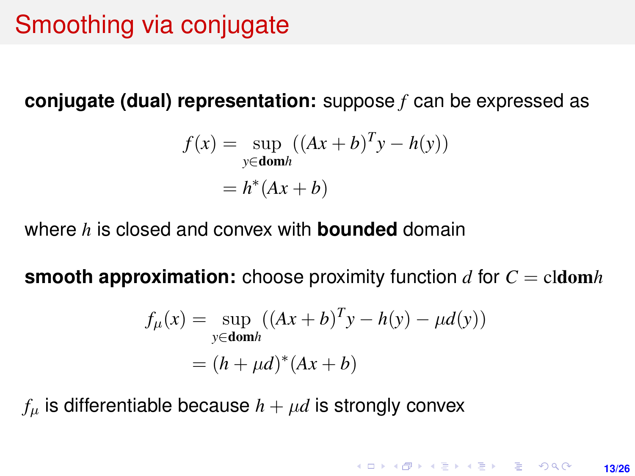# Smoothing via conjugate

**conjugate (dual) representation:** suppose *f* can be expressed as

$$
f(x) = \sup_{y \in \text{dom}h} ((Ax + b)^{T}y - h(y))
$$

$$
= h^{*}(Ax + b)
$$

where *h* is closed and convex with **bounded** domain

**smooth approximation:** choose proximity function *d* for *C* = cldom*h*

$$
f_{\mu}(x) = \sup_{y \in \text{dom}h} ((Ax + b)^{T}y - h(y) - \mu d(y))
$$

$$
= (h + \mu d)^{*}(Ax + b)
$$

 $f_{\mu}$  is differentiable because  $h + \mu d$  is strongly convex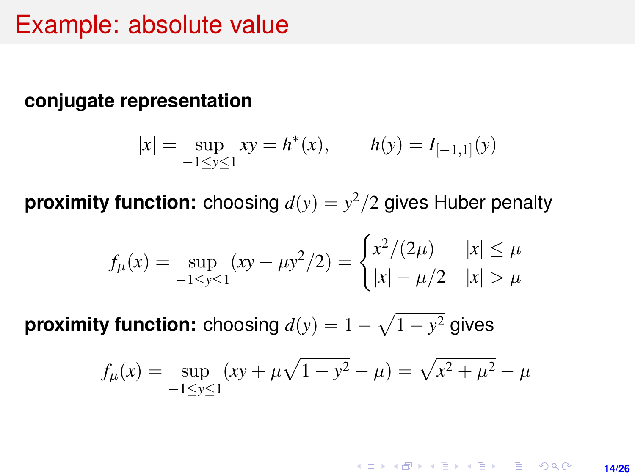### Example: absolute value

#### **conjugate representation**

$$
|x| = \sup_{-1 \le y \le 1} xy = h^*(x),
$$
  $h(y) = I_{[-1,1]}(y)$ 

**proximity function:** choosing  $d(y) = y^2/2$  gives Huber penalty

$$
f_{\mu}(x) = \sup_{-1 \le y \le 1} (xy - \mu y^2 / 2) = \begin{cases} x^2 / (2\mu) & |x| \le \mu \\ |x| - \mu / 2 & |x| > \mu \end{cases}
$$

**proximity function:** choosing  $d(y) = 1 - \sqrt{1 - y^2}$  gives

$$
f_{\mu}(x) = \sup_{-1 \le y \le 1} (xy + \mu \sqrt{1 - y^2} - \mu) = \sqrt{x^2 + \mu^2} - \mu
$$

**KORKARKKERK E VAN 14/26**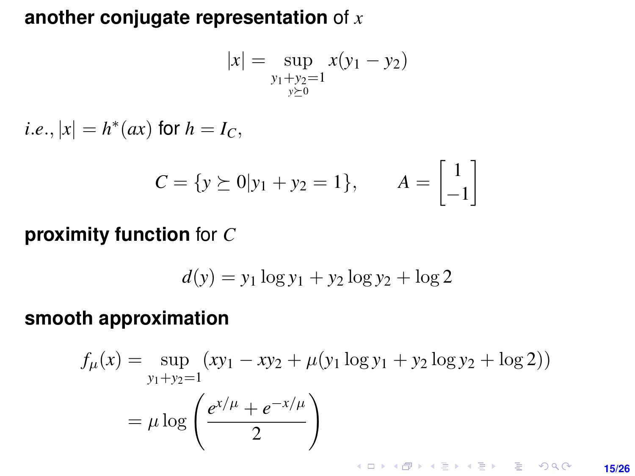#### **another conjugate representation** of *x*

$$
|x| = \sup_{\substack{y_1 + y_2 = 1 \\ y \succeq 0}} x(y_1 - y_2)
$$

*i*.*e*.,  $|x| = h^*(ax)$  for  $h = I_C$ ,

$$
C = \{ y \succeq 0 | y_1 + y_2 = 1 \}, \qquad A = \begin{bmatrix} 1 \\ -1 \end{bmatrix}
$$

#### **proximity function** for *C*

$$
d(y) = y_1 \log y_1 + y_2 \log y_2 + \log 2
$$

#### **smooth approximation**

$$
f_{\mu}(x) = \sup_{y_1 + y_2 = 1} (xy_1 - xy_2 + \mu(y_1 \log y_1 + y_2 \log y_2 + \log 2))
$$
  
=  $\mu \log \left( \frac{e^{x/\mu} + e^{-x/\mu}}{2} \right)$ 

**KORKARKKERK E VAN 15/26**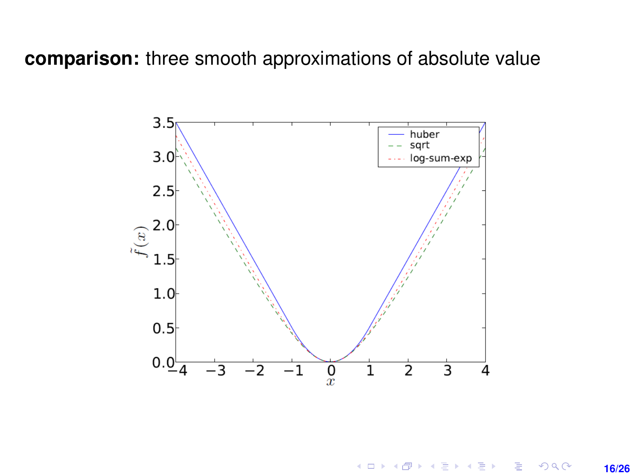**comparison:** three smooth approximations of absolute value



 $\mathbf{A} \equiv \mathbf{B} + \mathbf{A} \mathbf{B} + \mathbf{A} \mathbf{B} + \mathbf{A} \mathbf{B} + \mathbf{B}$ ă  $2Q$ **16/26**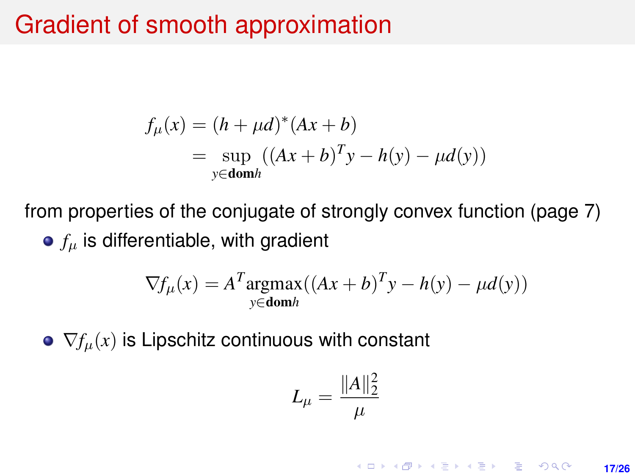# Gradient of smooth approximation

$$
f_{\mu}(x) = (h + \mu d)^{*}(Ax + b)
$$
  
=  $\sup_{y \in \text{dom}h} ((Ax + b)^{T}y - h(y) - \mu d(y))$ 

from properties of the conjugate of strongly convex function (page 7)  $\bullet$   $f_u$  is differentiable, with gradient

$$
\nabla f_{\mu}(x) = A^T \underset{y \in \text{dom}h}{\text{argmax}} ((Ax + b)^T y - h(y) - \mu d(y))
$$

 $\bullet \nabla f_\mu(x)$  is Lipschitz continuous with constant

$$
L_\mu=\frac{\|A\|_2^2}{\mu}
$$

**KORKARK A BIK BIKA A GA A GA A GA A BIKA A BIKA A BIKA A BIKA A BIKA A BIKA A BIKA A BIKA A BIKA A BIKA A BIKA 17/26**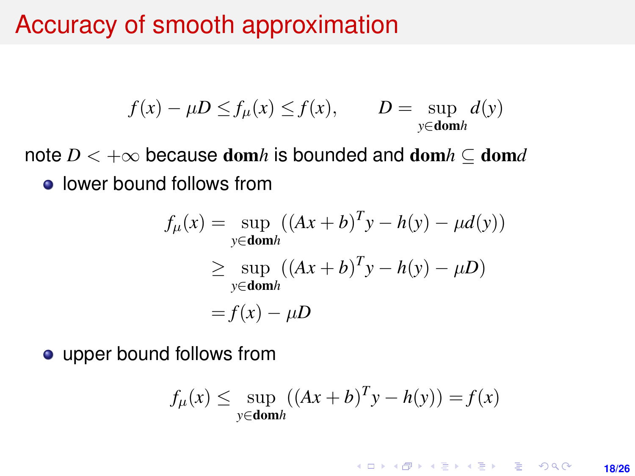# Accuracy of smooth approximation

$$
f(x) - \mu D \le f_{\mu}(x) \le f(x), \qquad D = \sup_{y \in \text{dom}h} d(y)
$$

note  $D < +\infty$  because dom*h* is bounded and dom $h \subset$  dom*d* **•** lower bound follows from

$$
f_{\mu}(x) = \sup_{y \in \text{dom}h} ((Ax + b)^{T}y - h(y) - \mu d(y))
$$
  
\n
$$
\geq \sup_{y \in \text{dom}h} ((Ax + b)^{T}y - h(y) - \mu D)
$$
  
\n
$$
= f(x) - \mu D
$$

• upper bound follows from

$$
f_{\mu}(x) \le \sup_{y \in \text{dom}h} ((Ax + b)^{T}y - h(y)) = f(x)
$$

**KORKARK KERKER DRAM** 

**18/26**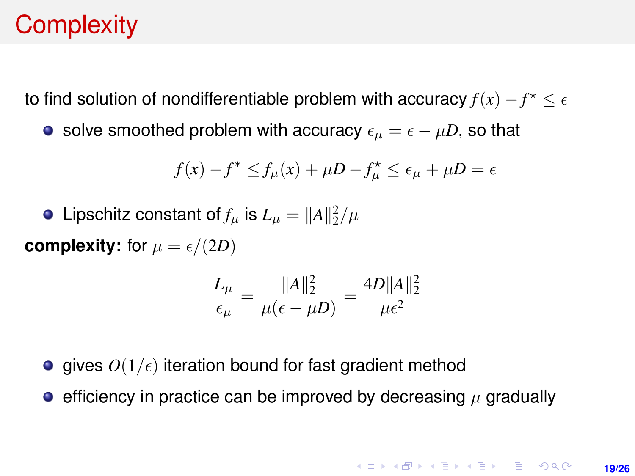# **Complexity**

to find solution of nondifferentiable problem with accuracy  $f(x) - f^\star \leq \epsilon$ 

• solve smoothed problem with accuracy  $\epsilon_{\mu} = \epsilon - \mu D$ , so that

$$
f(x) - f^* \le f_\mu(x) + \mu D - f_\mu^* \le \epsilon_\mu + \mu D = \epsilon
$$

Lipschitz constant of  $f_\mu$  is  $L_\mu = \|A\|_2^2/\mu$ 

**complexity:** for  $\mu = \epsilon/(2D)$ 

$$
\frac{L_{\mu}}{\epsilon_{\mu}} = \frac{\|A\|_2^2}{\mu(\epsilon - \mu D)} = \frac{4D\|A\|_2^2}{\mu\epsilon^2}
$$

- gives  $O(1/\epsilon)$  iteration bound for fast gradient method
- **e** efficiency in practice can be improved by decreasing  $\mu$  gradually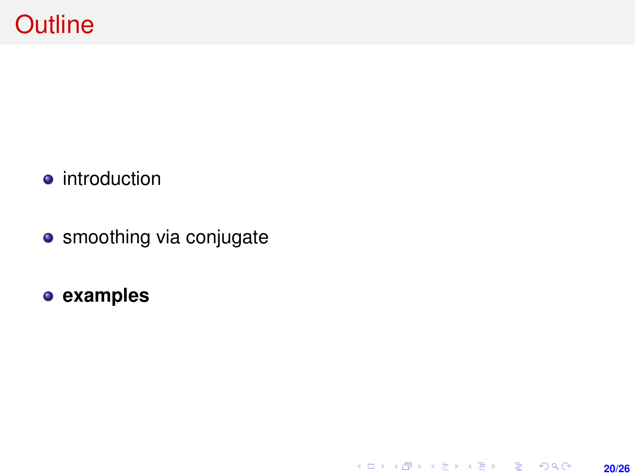- **•** introduction
- smoothing via conjugate

**20/26**

**examples**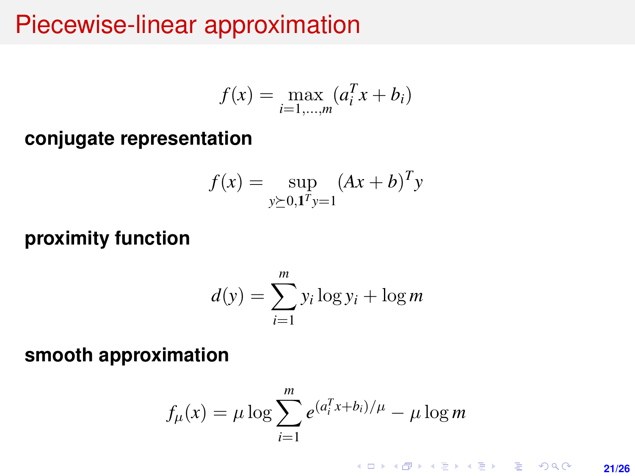## Piecewise-linear approximation

$$
f(x) = \max_{i=1,...,m} (a_i^T x + b_i)
$$

**conjugate representation**

$$
f(x) = \sup_{y \succeq 0, 1^T y = 1} (Ax + b)^T y
$$

**proximity function**

$$
d(y) = \sum_{i=1}^{m} y_i \log y_i + \log m
$$

**smooth approximation**

$$
f_{\mu}(x) = \mu \log \sum_{i=1}^{m} e^{(a_i^T x + b_i)/\mu} - \mu \log m
$$

K ロ ▶ K @ ▶ K 할 ▶ K 할 ▶ 이 할 → 9 Q @ **21/26**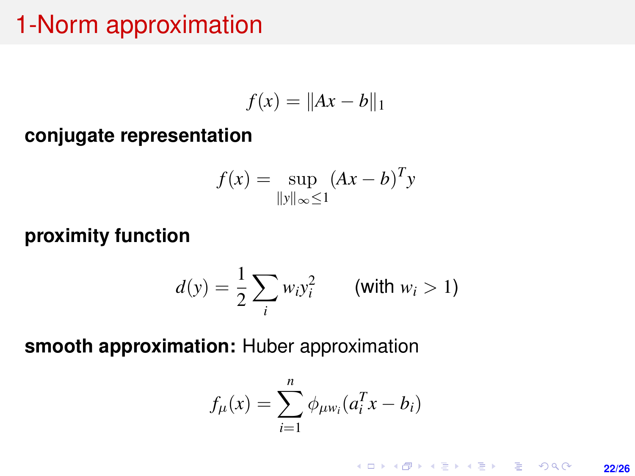## 1-Norm approximation

$$
f(x) = \|Ax - b\|_1
$$

**conjugate representation**

$$
f(x) = \sup_{\|y\|_{\infty} \le 1} (Ax - b)^{T} y
$$

#### **proximity function**

$$
d(y) = \frac{1}{2} \sum_{i} w_i y_i^2 \qquad \text{(with } w_i > 1\text{)}
$$

**smooth approximation:** Huber approximation

$$
f_{\mu}(x) = \sum_{i=1}^{n} \phi_{\mu w_i}(a_i^T x - b_i)
$$

K ロ ▶ K @ ▶ K 할 ▶ K 할 ▶ ... 할 → 9 Q @ **22/26**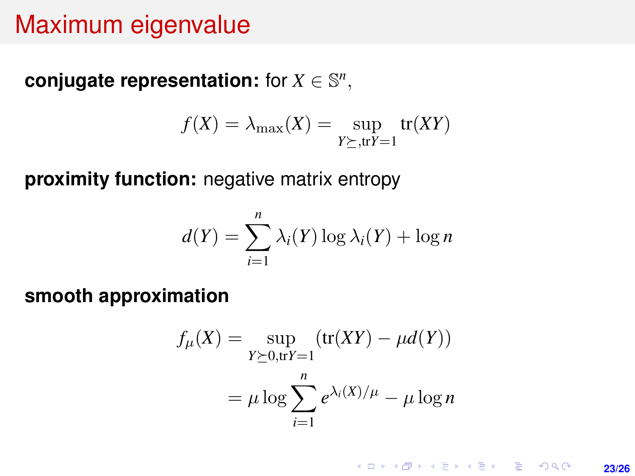### Maximum eigenvalue

**conjugate representation:** for  $X \in \mathbb{S}^n$ ,

$$
f(X) = \lambda_{\max}(X) = \sup_{Y \succeq, \text{tr}(Y) = 1} \text{tr}(XY)
$$

**proximity function:** negative matrix entropy

$$
d(Y) = \sum_{i=1}^{n} \lambda_i(Y) \log \lambda_i(Y) + \log n
$$

**smooth approximation**

$$
f_{\mu}(X) = \sup_{Y \succeq 0, \text{tr}Y = 1} (\text{tr}(XY) - \mu d(Y))
$$

$$
= \mu \log \sum_{i=1}^{n} e^{\lambda_i(X)/\mu} - \mu \log n
$$

**KORKARK KERKER DRAM 23/26**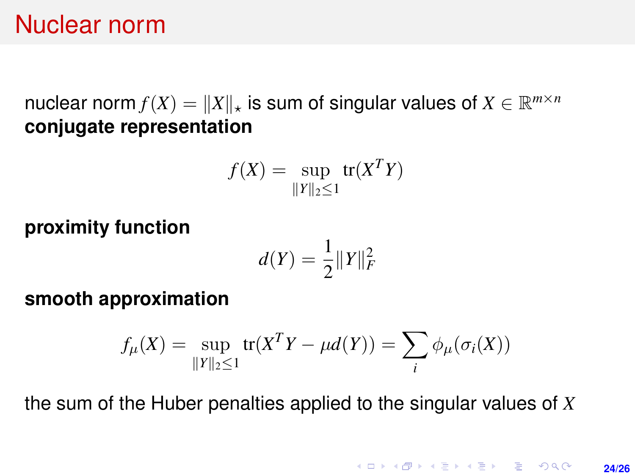### Nuclear norm

nuclear norm  $f(X) = \|X\|_{\star}$  is sum of singular values of  $X \in \mathbb{R}^{m \times n}$ **conjugate representation**

$$
f(X) = \sup_{\|Y\|_2 \le 1} tr(X^T Y)
$$

**proximity function**

$$
d(Y)=\frac{1}{2}\|Y\|_F^2
$$

**smooth approximation**

$$
f_{\mu}(X) = \sup_{\|Y\|_2 \le 1} \text{tr}(X^T Y - \mu d(Y)) = \sum_{i} \phi_{\mu}(\sigma_i(X))
$$

the sum of the Huber penalties applied to the singular values of *X*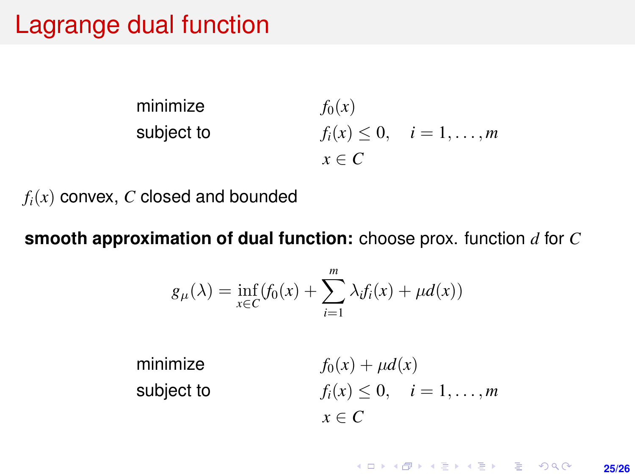## Lagrange dual function

minimize  $f_0(x)$ subject to  $f_i(x) \leq 0, \quad i = 1, \ldots, m$ *x* ∈ *C*

 $f_i(x)$  convex,  $C$  closed and bounded

**smooth approximation of dual function:** choose prox. function *d* for *C*

$$
g_{\mu}(\lambda) = \inf_{x \in C} (f_0(x) + \sum_{i=1}^m \lambda_i f_i(x) + \mu d(x))
$$

minimize  $f_0(x) + \mu d(x)$ subject to  $f_i(x) \leq 0, \quad i = 1, \ldots, m$  $x \in C$ 

**25/26**

**KORKARK KERKER DRAM**